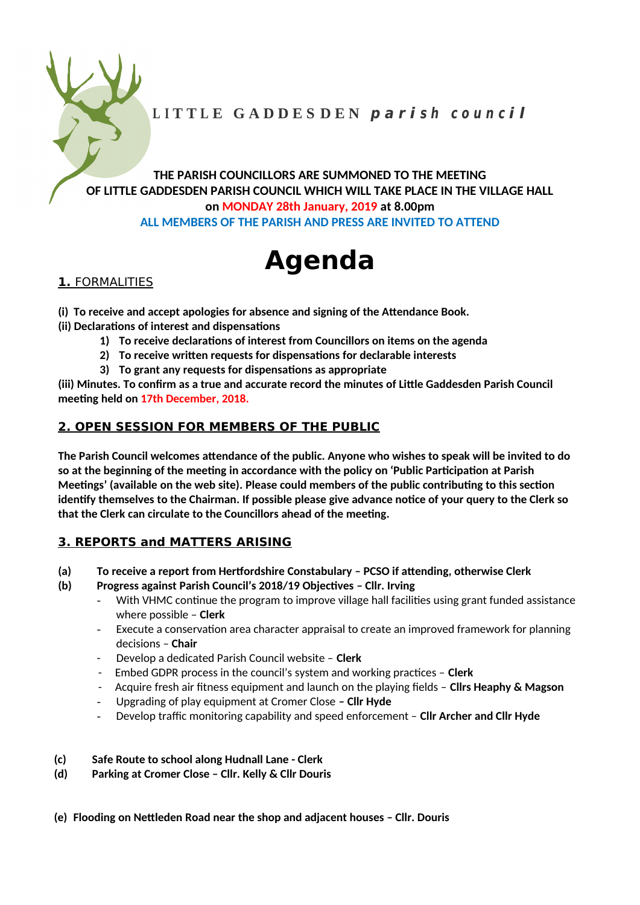

THE PARISH COUNCILLORS ARE SUMMONED TO THE MEETING OF LITTLE GADDESDEN PARISH COUNCIL WHICH WILL TAKE PLACE IN THE VILLAGE HALL on MONDAY 28th January, 2019 at 8.00pm ALL MEMBERS OF THE PARISH AND PRESS ARE INVITED TO ATTEND

# **Agenda**

## 1. FORMALITIES

- (i) To receive and accept apologies for absence and signing of the Attendance Book.
- (ii) Declarations of interest and dispensations
	- 1) To receive declarations of interest from Councillors on items on the agenda
	- 2) To receive written requests for dispensations for declarable interests
	- 3) To grant any requests for dispensations as appropriate

(iii) Minutes. To confirm as a true and accurate record the minutes of Little Gaddesden Parish Council meeting held on 17th December, 2018.

## 2. OPEN SESSION FOR MEMBERS OF THE PUBLIC

The Parish Council welcomes attendance of the public. Anyone who wishes to speak will be invited to do so at the beginning of the meeting in accordance with the policy on 'Public Participation at Parish Meetings' (available on the web site). Please could members of the public contributing to this section identify themselves to the Chairman. If possible please give advance notice of your query to the Clerk so that the Clerk can circulate to the Councillors ahead of the meeting.

# 3. REPORTS and MATTERS ARISING

- To receive a report from Hertfordshire Constabulary PCSO if attending, otherwise Clerk  $(a)$
- $(b)$ Progress against Parish Council's 2018/19 Objectives - Cllr. Irving
	- With VHMC continue the program to improve village hall facilities using grant funded assistance where possible  $-$  Clerk
	- Execute a conservation area character appraisal to create an improved framework for planning  $\omega_{\rm{max}}$ decisions - Chair
	- Develop a dedicated Parish Council website Clerk
	- Embed GDPR process in the council's system and working practices Clerk
	- Acquire fresh air fitness equipment and launch on the playing fields Clirs Heaphy & Magson
	- Upgrading of play equipment at Cromer Close Cllr Hyde  $\omega_{\rm{max}}$
	- Develop traffic monitoring capability and speed enforcement Cllr Archer and Cllr Hyde
- $(c)$ Safe Route to school along Hudnall Lane - Clerk
- $(d)$ Parking at Cromer Close - Cllr. Kelly & Cllr Douris
- (e) Flooding on Nettleden Road near the shop and adjacent houses Cllr. Douris